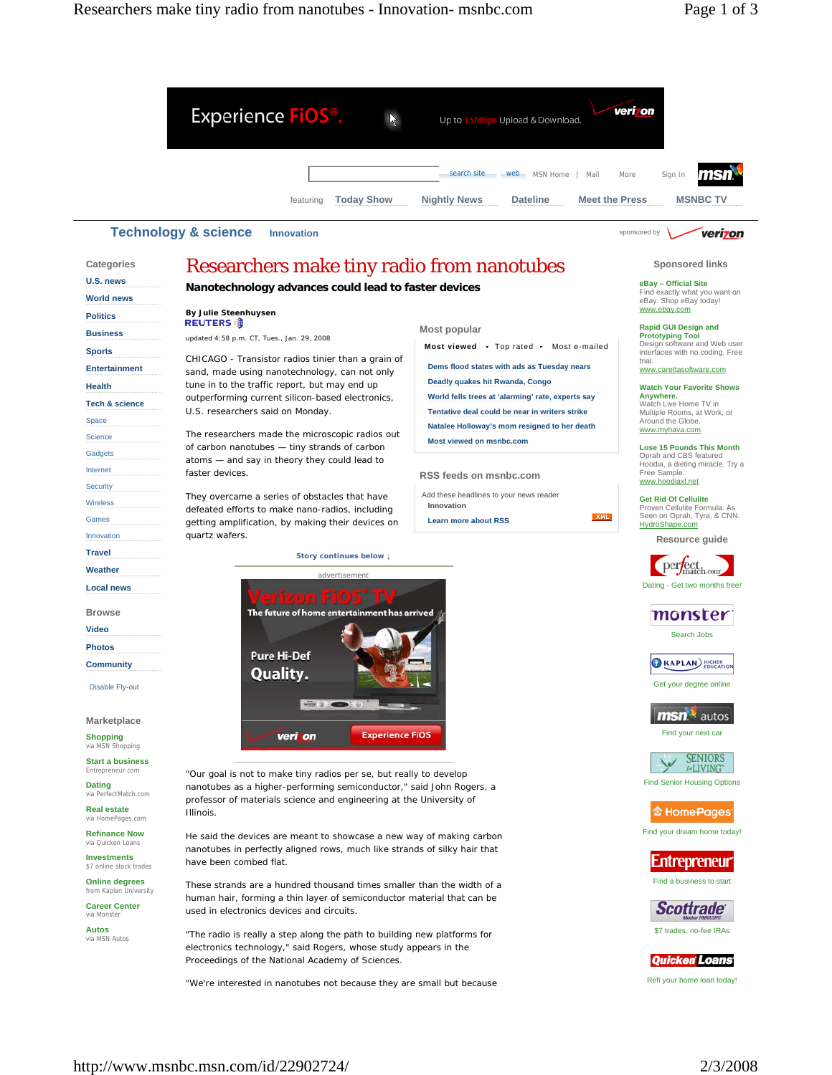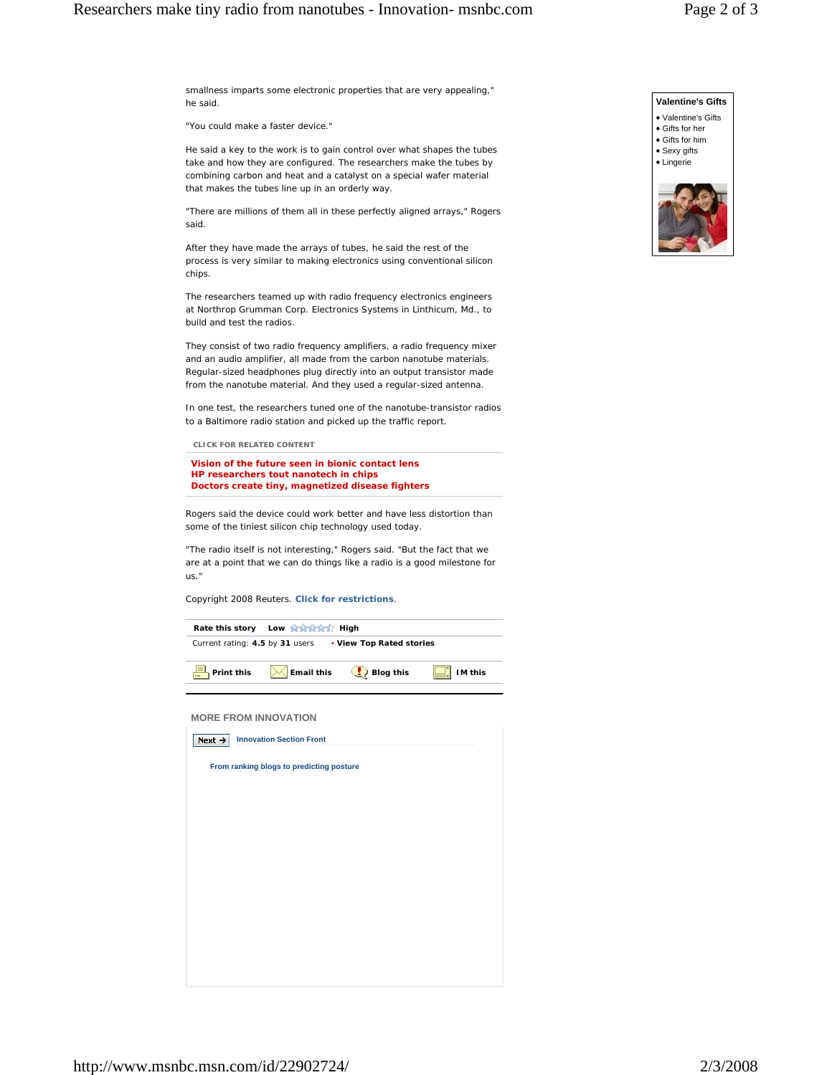smallness imparts some electronic properties that are very appealing," he said.

"You could make a faster device."

He said a key to the work is to gain control over what shapes the tubes take and how they are configured. The researchers make the tubes by combining carbon and heat and a catalyst on a special wafer material that makes the tubes line up in an orderly way.

"There are millions of them all in these perfectly aligned arrays," Rogers said.

After they have made the arrays of tubes, he said the rest of the process is very similar to making electronics using conventional silicon chips.

The researchers teamed up with radio frequency electronics engineers at Northrop Grumman Corp. Electronics Systems in Linthicum, Md., to build and test the radios.

They consist of two radio frequency amplifiers, a radio frequency mixer and an audio amplifier, all made from the carbon nanotube materials. Regular-sized headphones plug directly into an output transistor made from the nanotube material. And they used a regular-sized antenna.

In one test, the researchers tuned one of the nanotube-transistor radios to a Baltimore radio station and picked up the traffic report.

 **CLICK FOR RELATED CONTENT** 

**Vision of the future seen in bionic contact lens HP researchers tout nanotech in chips Doctors create tiny, magnetized disease fighters** 

Rogers said the device could work better and have less distortion than some of the tiniest silicon chip technology used today.

"The radio itself is not interesting," Rogers said. "But the fact that we are at a point that we can do things like a radio is a good milestone for us."

*Copyright 2008 Reuters. Click for restrictions.*

| Rate this story Low Art Art High                            |                   |           |                |  |
|-------------------------------------------------------------|-------------------|-----------|----------------|--|
| Current rating: 4.5 by 31 users<br>• View Top Rated stories |                   |           |                |  |
| Print this                                                  | <b>Email this</b> | Blog this | <b>IM this</b> |  |

 **MORE FROM INNOVATION** 

| Next $\rightarrow$ | <b>Innovation Section Front</b>          |  |
|--------------------|------------------------------------------|--|
|                    | From ranking blogs to predicting posture |  |
|                    |                                          |  |
|                    |                                          |  |
|                    |                                          |  |
|                    |                                          |  |
|                    |                                          |  |
|                    |                                          |  |
|                    |                                          |  |
|                    |                                          |  |